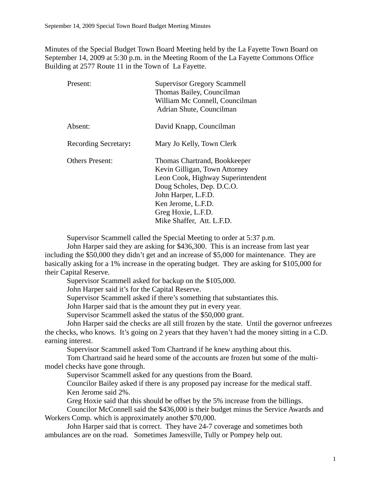Minutes of the Special Budget Town Board Meeting held by the La Fayette Town Board on September 14, 2009 at 5:30 p.m. in the Meeting Room of the La Fayette Commons Office Building at 2577 Route 11 in the Town of La Fayette.

| Present:             | <b>Supervisor Gregory Scammell</b> |
|----------------------|------------------------------------|
|                      | Thomas Bailey, Councilman          |
|                      | William Mc Connell, Councilman     |
|                      | Adrian Shute, Councilman           |
| Absent:              | David Knapp, Councilman            |
| Recording Secretary: | Mary Jo Kelly, Town Clerk          |
| Others Present:      | Thomas Chartrand, Bookkeeper       |
|                      | Kevin Gilligan, Town Attorney      |
|                      | Leon Cook, Highway Superintendent  |
|                      | Doug Scholes, Dep. D.C.O.          |
|                      | John Harper, L.F.D.                |
|                      | Ken Jerome, L.F.D.                 |
|                      | Greg Hoxie, L.F.D.                 |
|                      | Mike Shaffer, Att. L.F.D.          |

Supervisor Scammell called the Special Meeting to order at 5:37 p.m.

John Harper said they are asking for \$436,300. This is an increase from last year including the \$50,000 they didn't get and an increase of \$5,000 for maintenance. They are basically asking for a 1% increase in the operating budget. They are asking for \$105,000 for their Capital Reserve.

Supervisor Scammell asked for backup on the \$105,000.

John Harper said it's for the Capital Reserve.

Supervisor Scammell asked if there's something that substantiates this.

John Harper said that is the amount they put in every year.

Supervisor Scammell asked the status of the \$50,000 grant.

John Harper said the checks are all still frozen by the state. Until the governor unfreezes the checks, who knows. It's going on 2 years that they haven't had the money sitting in a C.D. earning interest.

Supervisor Scammell asked Tom Chartrand if he knew anything about this.

Tom Chartrand said he heard some of the accounts are frozen but some of the multimodel checks have gone through.

Supervisor Scammell asked for any questions from the Board.

Councilor Bailey asked if there is any proposed pay increase for the medical staff. Ken Jerome said 2%.

Greg Hoxie said that this should be offset by the 5% increase from the billings.

Councilor McConnell said the \$436,000 is their budget minus the Service Awards and Workers Comp. which is approximately another \$70,000.

John Harper said that is correct. They have 24-7 coverage and sometimes both ambulances are on the road. Sometimes Jamesville, Tully or Pompey help out.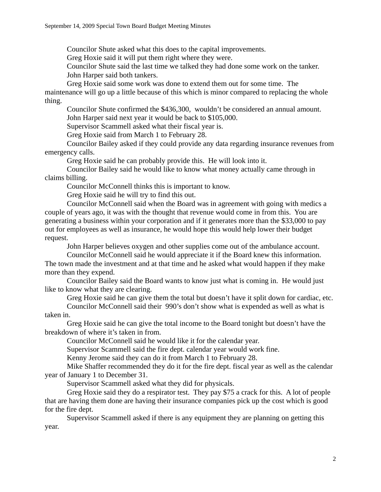Councilor Shute asked what this does to the capital improvements.

Greg Hoxie said it will put them right where they were.

Councilor Shute said the last time we talked they had done some work on the tanker. John Harper said both tankers.

Greg Hoxie said some work was done to extend them out for some time. The maintenance will go up a little because of this which is minor compared to replacing the whole thing.

Councilor Shute confirmed the \$436,300, wouldn't be considered an annual amount. John Harper said next year it would be back to \$105,000.

Supervisor Scammell asked what their fiscal year is.

Greg Hoxie said from March 1 to February 28.

Councilor Bailey asked if they could provide any data regarding insurance revenues from emergency calls.

Greg Hoxie said he can probably provide this. He will look into it.

Councilor Bailey said he would like to know what money actually came through in claims billing.

Councilor McConnell thinks this is important to know.

Greg Hoxie said he will try to find this out.

Councilor McConnell said when the Board was in agreement with going with medics a couple of years ago, it was with the thought that revenue would come in from this. You are generating a business within your corporation and if it generates more than the \$33,000 to pay out for employees as well as insurance, he would hope this would help lower their budget request.

John Harper believes oxygen and other supplies come out of the ambulance account.

Councilor McConnell said he would appreciate it if the Board knew this information. The town made the investment and at that time and he asked what would happen if they make more than they expend.

Councilor Bailey said the Board wants to know just what is coming in. He would just like to know what they are clearing.

Greg Hoxie said he can give them the total but doesn't have it split down for cardiac, etc.

Councilor McConnell said their 990's don't show what is expended as well as what is taken in.

Greg Hoxie said he can give the total income to the Board tonight but doesn't have the breakdown of where it's taken in from.

Councilor McConnell said he would like it for the calendar year.

Supervisor Scammell said the fire dept. calendar year would work fine.

Kenny Jerome said they can do it from March 1 to February 28.

Mike Shaffer recommended they do it for the fire dept. fiscal year as well as the calendar year of January 1 to December 31.

Supervisor Scammell asked what they did for physicals.

Greg Hoxie said they do a respirator test. They pay \$75 a crack for this. A lot of people that are having them done are having their insurance companies pick up the cost which is good for the fire dept.

Supervisor Scammell asked if there is any equipment they are planning on getting this year.